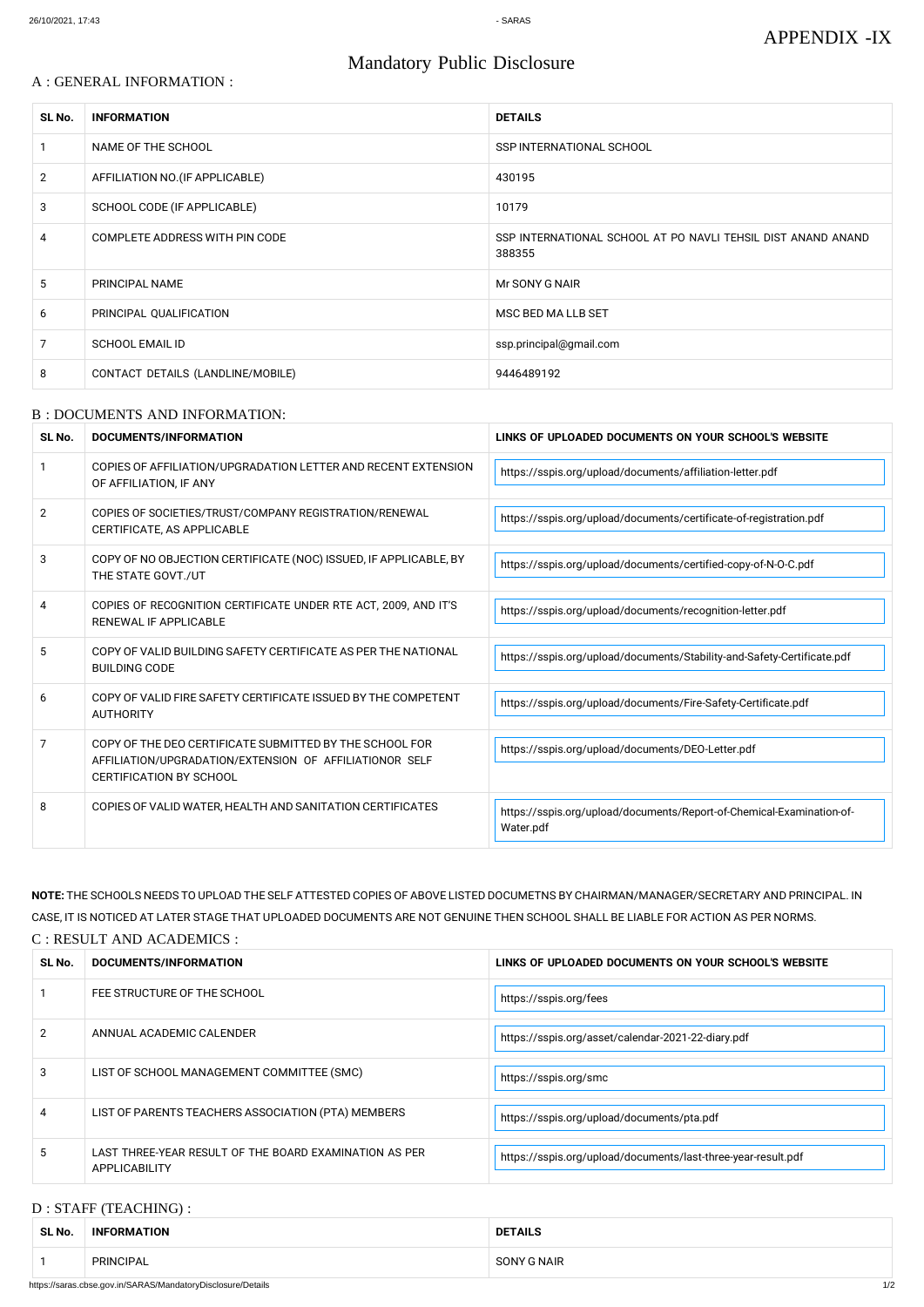### A : GENERAL INFORMATION :

# Mandatory Public Disclosure

| SL No.         | <b>INFORMATION</b>                | <b>DETAILS</b>                                                         |
|----------------|-----------------------------------|------------------------------------------------------------------------|
|                | NAME OF THE SCHOOL                | SSP INTERNATIONAL SCHOOL                                               |
| $\overline{2}$ | AFFILIATION NO. (IF APPLICABLE)   | 430195                                                                 |
| 3              | SCHOOL CODE (IF APPLICABLE)       | 10179                                                                  |
| 4              | COMPLETE ADDRESS WITH PIN CODE    | SSP INTERNATIONAL SCHOOL AT PO NAVLI TEHSIL DIST ANAND ANAND<br>388355 |
| 5              | PRINCIPAL NAME                    | Mr SONY G NAIR                                                         |
| 6              | PRINCIPAL QUALIFICATION           | MSC BED MA LLB SET                                                     |
| 7              | <b>SCHOOL EMAIL ID</b>            | ssp.principal@gmail.com                                                |
| 8              | CONTACT DETAILS (LANDLINE/MOBILE) | 9446489192                                                             |

#### B : DOCUMENTS AND INFORMATION:

| SL No. | DOCUMENTS/INFORMATION                                                                                                                                | LINKS OF UPLOADED DOCUMENTS ON YOUR SCHOOL'S WEBSITE                               |
|--------|------------------------------------------------------------------------------------------------------------------------------------------------------|------------------------------------------------------------------------------------|
|        | COPIES OF AFFILIATION/UPGRADATION LETTER AND RECENT EXTENSION<br>OF AFFILIATION, IF ANY                                                              | https://sspis.org/upload/documents/affiliation-letter.pdf                          |
| 2      | COPIES OF SOCIETIES/TRUST/COMPANY REGISTRATION/RENEWAL<br>CERTIFICATE, AS APPLICABLE                                                                 | https://sspis.org/upload/documents/certificate-of-registration.pdf                 |
| 3      | COPY OF NO OBJECTION CERTIFICATE (NOC) ISSUED, IF APPLICABLE, BY<br>THE STATE GOVT./UT                                                               | https://sspis.org/upload/documents/certified-copy-of-N-O-C.pdf                     |
| 4      | COPIES OF RECOGNITION CERTIFICATE UNDER RTE ACT, 2009, AND IT'S<br>RENEWAL IF APPLICABLE                                                             | https://sspis.org/upload/documents/recognition-letter.pdf                          |
| 5      | COPY OF VALID BUILDING SAFETY CERTIFICATE AS PER THE NATIONAL<br><b>BUILDING CODE</b>                                                                | https://sspis.org/upload/documents/Stability-and-Safety-Certificate.pdf            |
| 6      | COPY OF VALID FIRE SAFETY CERTIFICATE ISSUED BY THE COMPETENT<br><b>AUTHORITY</b>                                                                    | https://sspis.org/upload/documents/Fire-Safety-Certificate.pdf                     |
| 7      | COPY OF THE DEO CERTIFICATE SUBMITTED BY THE SCHOOL FOR<br>AFFILIATION/UPGRADATION/EXTENSION OF AFFILIATIONOR SELF<br><b>CERTIFICATION BY SCHOOL</b> | https://sspis.org/upload/documents/DEO-Letter.pdf                                  |
| 8      | COPIES OF VALID WATER, HEALTH AND SANITATION CERTIFICATES                                                                                            | https://sspis.org/upload/documents/Report-of-Chemical-Examination-of-<br>Water.pdf |

|               | FEE STRUCTURE OF THE SCHOOL                                             | https://sspis.org/fees                                        |
|---------------|-------------------------------------------------------------------------|---------------------------------------------------------------|
| $\mathcal{P}$ | ANNUAL ACADEMIC CALENDER                                                | https://sspis.org/asset/calendar-2021-22-diary.pdf            |
| 3             | LIST OF SCHOOL MANAGEMENT COMMITTEE (SMC)                               | https://sspis.org/smc                                         |
| 4             | LIST OF PARENTS TEACHERS ASSOCIATION (PTA) MEMBERS                      | https://sspis.org/upload/documents/pta.pdf                    |
| 5             | LAST THREE-YEAR RESULT OF THE BOARD EXAMINATION AS PER<br>APPLICABILITY | https://sspis.org/upload/documents/last-three-year-result.pdf |

# **NOTE:** THE SCHOOLS NEEDS TO UPLOAD THE SELF ATTESTED COPIES OF ABOVE LISTED DOCUMETNS BY CHAIRMAN/MANAGER/SECRETARY AND PRINCIPAL. IN CASE, IT IS NOTICED AT LATER STAGE THAT UPLOADED DOCUMENTS ARE NOT GENUINE THEN SCHOOL SHALL BE LIABLE FOR ACTION AS PER NORMS. C : RESULT AND ACADEMICS :

| <b>SL No</b> | TION<br><b>CUMENTS/INFORMA</b><br>DOC | <b>WEBSITL</b><br>LINKS OF UPLOADED<br>I YOUR SCHOOL'S<br>. ON<br>J DOCUMENTS |
|--------------|---------------------------------------|-------------------------------------------------------------------------------|
|--------------|---------------------------------------|-------------------------------------------------------------------------------|

#### D : STAFF (TEACHING) :

| SL No. | <b>INFORMATION</b> | <b>DETAILS</b> |
|--------|--------------------|----------------|
|        | PRINCIPAL          | SONY G NAIR    |